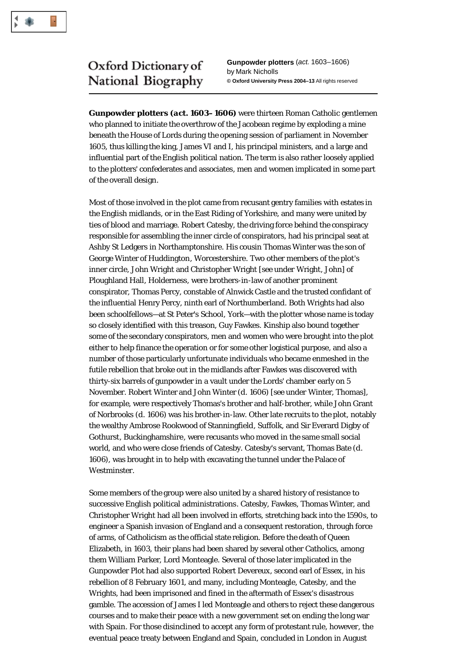

## Oxford Dictionary of National Biography

**Gunpowder plotters** (*act.* 1603–1606) by Mark Nicholls **© Oxford University Press 2004–13** All rights reserved

**Gunpowder plotters (***act.* **1603–1606)** were thirteen Roman Catholic gentlemen who planned to initiate the overthrow of the Jacobean regime by exploding a mine beneath the House of Lords during the opening session of parliament in November 1605, thus killing the king, James VI and I, his principal ministers, and a large and influential part of the English political nation. The term is also rather loosely applied to the plotters' confederates and associates, men and women implicated in some part of the overall design.

Most of those involved in the plot came from recusant gentry families with estates in the English midlands, or in the East Riding of Yorkshire, and many were united by ties of blood and marriage. Robert Catesby, the driving force behind the conspiracy responsible for assembling the inner circle of conspirators, had his principal seat at Ashby St Ledgers in Northamptonshire. His cousin Thomas Winter was the son of George Winter of Huddington, Worcestershire. Two other members of the plot's inner circle, John Wright and Christopher Wright [*see under* Wright, John] of Ploughland Hall, Holderness, were brothers-in-law of another prominent conspirator, Thomas Percy, constable of Alnwick Castle and the trusted confidant of the influential Henry Percy, ninth earl of Northumberland. Both Wrights had also been schoolfellows—at St Peter's School, York—with the plotter whose name is today so closely identified with this treason, Guy Fawkes. Kinship also bound together some of the secondary conspirators, men and women who were brought into the plot either to help finance the operation or for some other logistical purpose, and also a number of those particularly unfortunate individuals who became enmeshed in the futile rebellion that broke out in the midlands after Fawkes was discovered with thirty-six barrels of gunpowder in a vault under the Lords' chamber early on 5 November. Robert Winter and John Winter (*d*. 1606) [*see under* Winter, Thomas], for example, were respectively Thomas's brother and half-brother, while John Grant of Norbrooks (*d*. 1606) was his brother-in-law. Other late recruits to the plot, notably the wealthy Ambrose Rookwood of Stanningfield, Suffolk, and Sir Everard Digby of Gothurst, Buckinghamshire, were recusants who moved in the same small social world, and who were close friends of Catesby. Catesby's servant, Thomas Bate (*d*. 1606), was brought in to help with excavating the tunnel under the Palace of Westminster.

Some members of the group were also united by a shared history of resistance to successive English political administrations. Catesby, Fawkes, Thomas Winter, and Christopher Wright had all been involved in efforts, stretching back into the 1590s, to engineer a Spanish invasion of England and a consequent restoration, through force of arms, of Catholicism as the official state religion. Before the death of Queen Elizabeth, in 1603, their plans had been shared by several other Catholics, among them William Parker, Lord Monteagle. Several of those later implicated in the Gunpowder Plot had also supported Robert Devereux, second earl of Essex, in his rebellion of 8 February 1601, and many, including Monteagle, Catesby, and the Wrights, had been imprisoned and fined in the aftermath of Essex's disastrous gamble. The accession of James I led Monteagle and others to reject these dangerous courses and to make their peace with a new government set on ending the long war with Spain. For those disinclined to accept any form of protestant rule, however, the eventual peace treaty between England and Spain, concluded in London in August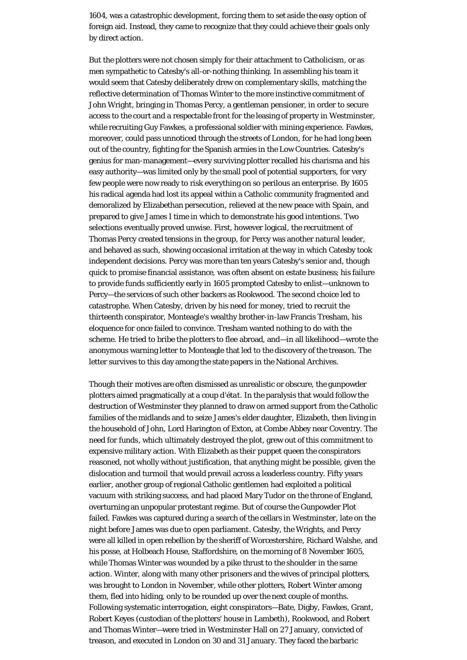1604, was a catastrophic development, forcing them to set aside the easy option of foreign aid. Instead, they came to recognize that they could achieve their goals only by direct action.

But the plotters were not chosen simply for their attachment to Catholicism, or as men sympathetic to Catesby's all-or-nothing thinking. In assembling his team it would seem that Catesby deliberately drew on complementary skills, matching the reflective determination of Thomas Winter to the more instinctive commitment of John Wright, bringing in Thomas Percy, a gentleman pensioner, in order to secure access to the court and a respectable front for the leasing of property in Westminster, while recruiting Guy Fawkes, a professional soldier with mining experience. Fawkes, moreover, could pass unnoticed through the streets of London, for he had long been out of the country, fighting for the Spanish armies in the Low Countries. Catesby's genius for man-management—every surviving plotter recalled his charisma and his easy authority—was limited only by the small pool of potential supporters, for very few people were now ready to risk everything on so perilous an enterprise. By 1605 his radical agenda had lost its appeal within a Catholic community fragmented and demoralized by Elizabethan persecution, relieved at the new peace with Spain, and prepared to give James I time in which to demonstrate his good intentions. Two selections eventually proved unwise. First, however logical, the recruitment of Thomas Percy created tensions in the group, for Percy was another natural leader, and behaved as such, showing occasional irritation at the way in which Catesby took independent decisions. Percy was more than ten years Catesby's senior and, though quick to promise financial assistance, was often absent on estate business; his failure to provide funds sufficiently early in 1605 prompted Catesby to enlist—unknown to Percy—the services of such other backers as Rookwood. The second choice led to catastrophe. When Catesby, driven by his need for money, tried to recruit the thirteenth conspirator, Monteagle's wealthy brother-in-law Francis Tresham, his eloquence for once failed to convince. Tresham wanted nothing to do with the scheme. He tried to bribe the plotters to flee abroad, and—in all likelihood—wrote the anonymous warning letter to Monteagle that led to the discovery of the treason. The letter survives to this day among the state papers in the National Archives.

Though their motives are often dismissed as unrealistic or obscure, the gunpowder plotters aimed pragmatically at a *coup d'état*. In the paralysis that would follow the destruction of Westminster they planned to draw on armed support from the Catholic families of the midlands and to seize James's elder daughter, Elizabeth, then living in the household of John, Lord Harington of Exton, at Combe Abbey near Coventry. The need for funds, which ultimately destroyed the plot, grew out of this commitment to expensive military action. With Elizabeth as their puppet queen the conspirators reasoned, not wholly without justification, that anything might be possible, given the dislocation and turmoil that would prevail across a leaderless country. Fifty years earlier, another group of regional Catholic gentlemen had exploited a political vacuum with striking success, and had placed Mary Tudor on the throne of England, overturning an unpopular protestant regime. But of course the Gunpowder Plot failed. Fawkes was captured during a search of the cellars in Westminster, late on the night before James was due to open parliament. Catesby, the Wrights, and Percy were all killed in open rebellion by the sheriff of Worcestershire, Richard Walshe, and his posse, at Holbeach House, Staffordshire, on the morning of 8 November 1605, while Thomas Winter was wounded by a pike thrust to the shoulder in the same action. Winter, along with many other prisoners and the wives of principal plotters, was brought to London in November, while other plotters, Robert Winter among them, fled into hiding, only to be rounded up over the next couple of months. Following systematic interrogation, eight conspirators—Bate, Digby, Fawkes, Grant, Robert Keyes (custodian of the plotters' house in Lambeth), Rookwood, and Robert and Thomas Winter—were tried in Westminster Hall on 27 January, convicted of treason, and executed in London on 30 and 31 January. They faced the barbaric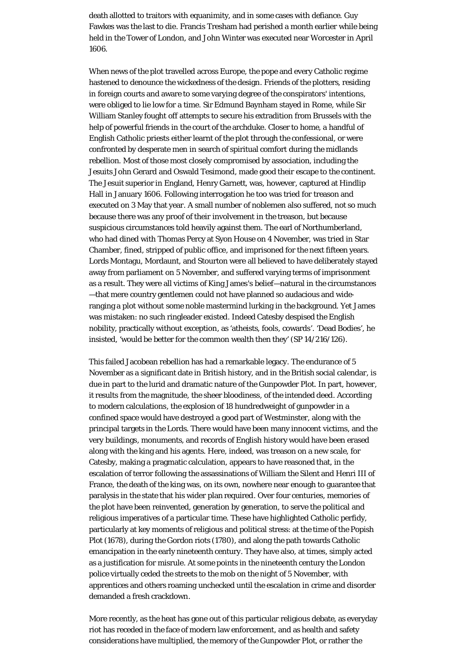death allotted to traitors with equanimity, and in some cases with defiance. Guy Fawkes was the last to die. Francis Tresham had perished a month earlier while being held in the Tower of London, and John Winter was executed near Worcester in April 1606.

When news of the plot travelled across Europe, the pope and every Catholic regime hastened to denounce the wickedness of the design. Friends of the plotters, residing in foreign courts and aware to some varying degree of the conspirators' intentions, were obliged to lie low for a time. Sir Edmund Baynham stayed in Rome, while Sir William Stanley fought off attempts to secure his extradition from Brussels with the help of powerful friends in the court of the archduke. Closer to home, a handful of English Catholic priests either learnt of the plot through the confessional, or were confronted by desperate men in search of spiritual comfort during the midlands rebellion. Most of those most closely compromised by association, including the Jesuits John Gerard and Oswald Tesimond, made good their escape to the continent. The Jesuit superior in England, Henry Garnett, was, however, captured at Hindlip Hall in January 1606. Following interrogation he too was tried for treason and executed on 3 May that year. A small number of noblemen also suffered, not so much because there was any proof of their involvement in the treason, but because suspicious circumstances told heavily against them. The earl of Northumberland, who had dined with Thomas Percy at Syon House on 4 November, was tried in Star Chamber, fined, stripped of public office, and imprisoned for the next fifteen years. Lords Montagu, Mordaunt, and Stourton were all believed to have deliberately stayed away from parliament on 5 November, and suffered varying terms of imprisonment as a result. They were all victims of King James's belief—natural in the circumstances —that mere country gentlemen could not have planned so audacious and wideranging a plot without some noble mastermind lurking in the background. Yet James was mistaken: no such ringleader existed. Indeed Catesby despised the English nobility, practically without exception, as 'atheists, fools, cowards'. 'Dead Bodies', he insisted, 'would be better for the common wealth then they' (SP 14/216/126).

This failed Jacobean rebellion has had a remarkable legacy. The endurance of 5 November as a significant date in British history, and in the British social calendar, is due in part to the lurid and dramatic nature of the Gunpowder Plot. In part, however, it results from the magnitude, the sheer bloodiness, of the intended deed. According to modern calculations, the explosion of 18 hundredweight of gunpowder in a confined space would have destroyed a good part of Westminster, along with the principal targets in the Lords. There would have been many innocent victims, and the very buildings, monuments, and records of English history would have been erased along with the king and his agents. Here, indeed, was treason on a new scale, for Catesby, making a pragmatic calculation, appears to have reasoned that, in the escalation of terror following the assassinations of William the Silent and Henri III of France, the death of the king was, on its own, nowhere near enough to guarantee that paralysis in the state that his wider plan required. Over four centuries, memories of the plot have been reinvented, generation by generation, to serve the political and religious imperatives of a particular time. These have highlighted Catholic perfidy, particularly at key moments of religious and political stress: at the time of the Popish Plot (1678), during the Gordon riots (1780), and along the path towards Catholic emancipation in the early nineteenth century. They have also, at times, simply acted as a justification for misrule. At some points in the nineteenth century the London police virtually ceded the streets to the mob on the night of 5 November, with apprentices and others roaming unchecked until the escalation in crime and disorder demanded a fresh crackdown.

More recently, as the heat has gone out of this particular religious debate, as everyday riot has receded in the face of modern law enforcement, and as health and safety considerations have multiplied, the memory of the Gunpowder Plot, or rather the